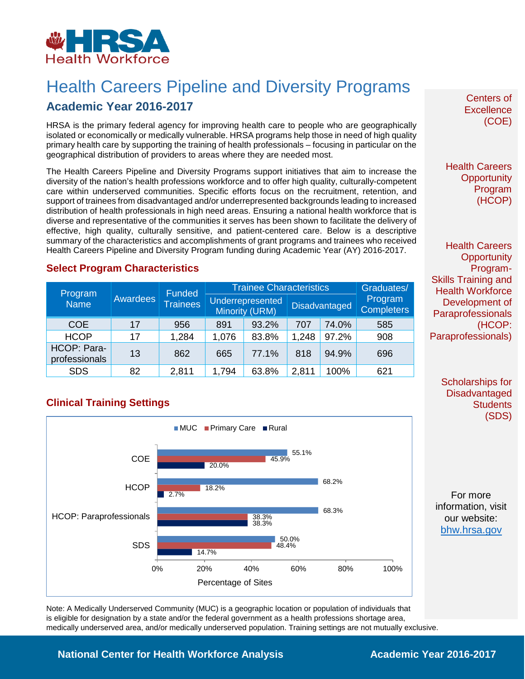

# Health Careers Pipeline and Diversity Programs

## **Academic Year 2016-2017**

HRSA is the primary federal agency for improving health care to people who are geographically isolated or economically or medically vulnerable. HRSA programs help those in need of high quality primary health care by supporting the training of health professionals – focusing in particular on the geographical distribution of providers to areas where they are needed most.

The Health Careers Pipeline and Diversity Programs support initiatives that aim to increase the diversity of the nation's health professions workforce and to offer high quality, culturally-competent care within underserved communities. Specific efforts focus on the recruitment, retention, and support of trainees from disadvantaged and/or underrepresented backgrounds leading to increased distribution of health professionals in high need areas. Ensuring a national health workforce that is diverse and representative of the communities it serves has been shown to facilitate the delivery of effective, high quality, culturally sensitive, and patient-centered care. Below is a descriptive summary of the characteristics and accomplishments of grant programs and trainees who received Health Careers Pipeline and Diversity Program funding during Academic Year (AY) 2016-2017.

#### **Select Program Characteristics**

|                              | <b>Awardees</b> | Funded<br><b>Trainees</b> | <b>Trainee Characteristics</b>            |       |                      |       | Graduates/                   |
|------------------------------|-----------------|---------------------------|-------------------------------------------|-------|----------------------|-------|------------------------------|
| Program<br><b>Name</b>       |                 |                           | Underrepresented<br><b>Minority (URM)</b> |       | <b>Disadvantaged</b> |       | Program<br><b>Completers</b> |
| <b>COE</b>                   | 17              | 956                       | 891                                       | 93.2% | 707                  | 74.0% | 585                          |
| <b>HCOP</b>                  | 17              | 1,284                     | 1,076                                     | 83.8% | 1,248                | 97.2% | 908                          |
| HCOP: Para-<br>professionals | 13              | 862                       | 665                                       | 77.1% | 818                  | 94.9% | 696                          |
| <b>SDS</b>                   | 82              | 2,811                     | 1,794                                     | 63.8% | 2,811                | 100%  | 621                          |

#### **Clinical Training Settings**



Note: A Medically Underserved Community (MUC) is a geographic location or population of individuals that is eligible for designation by a state and/or the federal government as a health professions shortage area, medically underserved area, and/or medically underserved population. Training settings are not mutually exclusive.

Centers of **Excellence** (COE)

Health Careers **Opportunity** Program (HCOP)

Health Careers **Opportunity** Program-Skills Training and Health Workforce Development of **Paraprofessionals** (HCOP: Paraprofessionals)

> Scholarships for **Disadvantaged Students** (SDS)

For more information, visit our website: [bhw.hrsa.gov](http://bhw.hrsa.gov/)

#### **National Center for Health Workforce Analysis Mational Center 2016-2017**